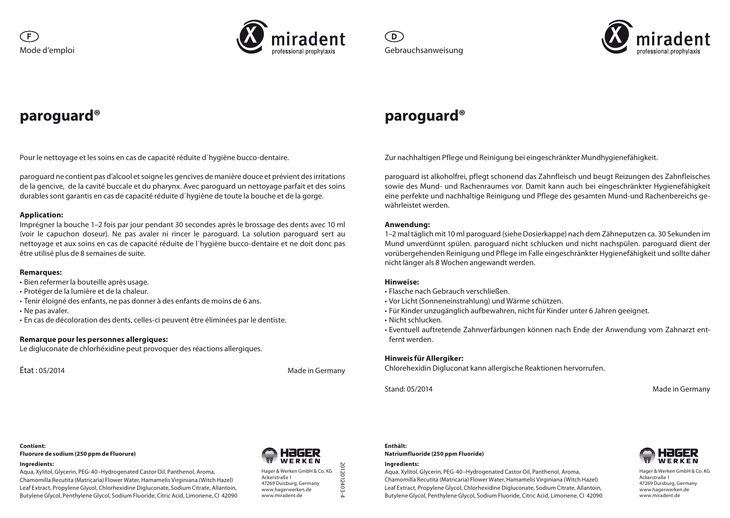







# **paroguard® paroguard®**

Pour le nettoyage et les soins en cas de capacité réduite d´hygiène bucco-dentaire.

paroguard ne contient pas d'alcool et soigne les gencives de manière douce et prévient des irritations de la gencive, de la cavité buccale et du pharynx. Avec paroguard un nettoyage parfait et des soins durables sont garantis en cas de capacité réduite d´hygiène de toute la bouche et de la gorge.

#### **Application:**

Imprégner la bouche 1–2 fois par jour pendant 30 secondes après le brossage des dents avec 10 ml (voir le capuchon doseur). Ne pas avaler ni rincer le paroguard. La solution paroguard sert au nettoyage et aux soins en cas de capacité réduite de l´hygiène bucco-dentaire et ne doit donc pas être utilisé plus de 8 semaines de suite.

#### **Remarques:**

- • Bien refermer la bouteille après usage.
- • Protéger de la lumière et de la chaleur.
- Tenir éloigné des enfants, ne pas donner à des enfants de moins de 6 ans.
- Ne pas avaler.
- En cas de décoloration des dents, celles-ci peuvent être éliminées par le dentiste.

#### **Remarque pour les personnes allergiques:**

Le digluconate de chlorhéxidine peut provoquer des réactions allergiques.

État : 05/2014 Made in Germany

Zur nachhaltigen Pflege und Reinigung bei eingeschränkter Mundhygienefähigkeit.

paroguard ist alkoholfrei, pflegt schonend das Zahnfleisch und beugt Reizungen des Zahnfleisches sowie des Mund- und Rachenraumes vor. Damit kann auch bei eingeschränkter Hygienefähigkeit eine perfekte und nachhaltige Reinigung und Pflege des gesamten Mund-und Rachenbereichs gewährleistet werden.

#### **Anwendung:**

1–2 mal täglich mit 10 ml paroguard (siehe Dosierkappe) nach dem Zähneputzen ca. 30 Sekunden im Mund unverdünnt spülen. paroguard nicht schlucken und nicht nachspülen. paroguard dient der vorübergehenden Reinigung und Pflege im Falle eingeschränkter Hygienefähigkeit und sollte daher nicht länger als 8 Wochen angewandt werden.

#### **Hinweise:**

- • Flasche nach Gebrauch verschließen.
- • Vor Licht (Sonneneinstrahlung) und Wärme schützen.
- • Für Kinder unzugänglich aufbewahren, nicht für Kinder unter 6 Jahren geeignet.
- Nicht schlucken.
- • Eventuell auftretende Zahnverfärbungen können nach Ende der Anwendung vom Zahnarzt entfernt werden.

#### **Hinweis für Allergiker:**

Chlorehexidin Digluconat kann allergische Reaktionen hervorrufen.

Stand: 05/2014 **Made in Germany** Made in Germany

#### **Contient: Fluorure de sodium (250 ppm de Fluorure)**

#### **Ingredients:**

Aqua, Xylitol, Glycerin, PEG-40–Hydrogenated Castor Oil, Panthenol, Aroma, Chamomilla Recutita (Matricaria) Flower Water, Hamamelis Virginiana (Witch Hazel) Leaf Extract, Propylene Glycol, Chlorhexidine Digluconate, Sodium Citrate, Allantoin, Butylene Glycol, Penthylene Glycol, Sodium Fluoride, Citric Acid, Limonene, CI 42090



Hager & Werken GmbH & Co. KG Ackerstraße 1 47269 Duisburg, Germany www.hagerwerken.de www.miradent.de

2012012403-4

2012012403-4

## **Enthält:**

## **Natriumfluoride (250 ppm Fluoride)**

#### **Ingredients:**

Aqua, Xylitol, Glycerin, PEG-40–Hydrogenated Castor Oil, Panthenol, Aroma, Chamomilla Recutita (Matricaria) Flower Water, Hamamelis Virginiana (Witch Hazel) Leaf Extract, Propylene Glycol, Chlorhexidine Digluconate, Sodium Citrate, Allantoin, Butylene Glycol, Penthylene Glycol, Sodium Fluoride, Citric Acid, Limonene, CI 42090



Hager & Werken GmbH & Co. KG Ackerstraße 1 47269 Duisburg, Germany www.hagerwerken.de www.miradent.de